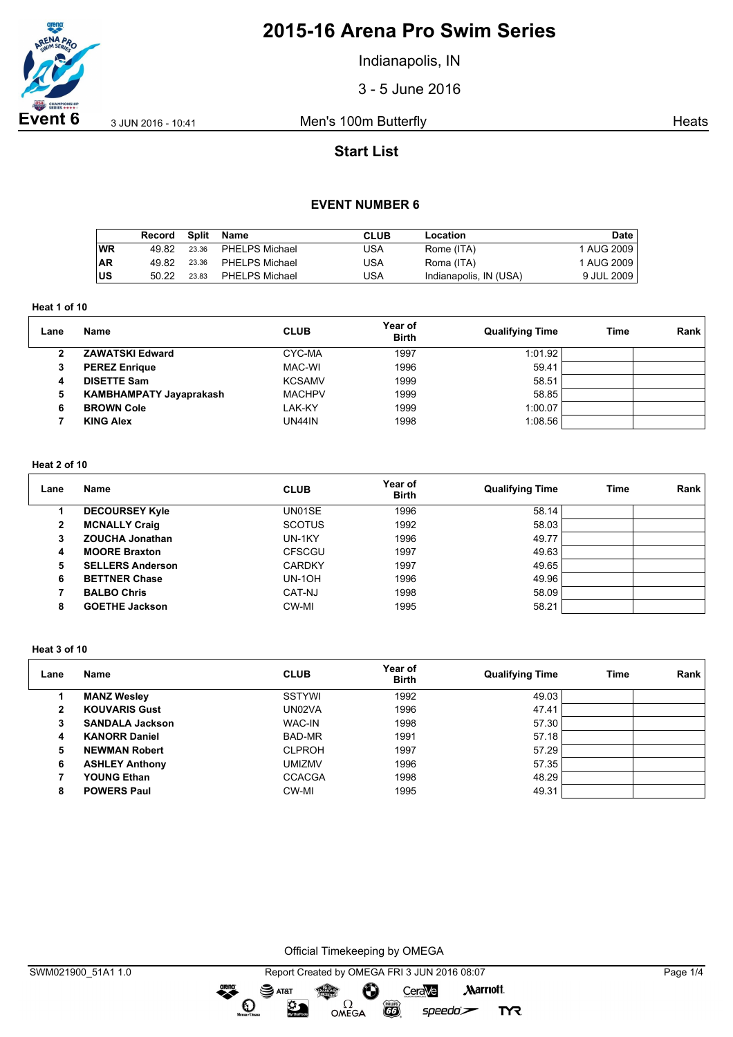

Indianapolis, IN

3 - 5 June 2016

**Event 6** 3 JUN 2016 - 10:41 Men's 100m Butterfly **Event 6** 3 JUN 2016 - 10:41

# **Start List**

### **EVENT NUMBER 6**

|           | Record | Split | Name           | CLUB | Location               | Date         |
|-----------|--------|-------|----------------|------|------------------------|--------------|
| WR        | 49.82  | 23.36 | PHELPS Michael | USA  | Rome (ITA)             | 1 AUG 2009   |
| <b>AR</b> | 49.82  | 23.36 | PHELPS Michael | USA  | Roma (ITA)             | 1 AUG 2009   |
| lus       | 50.22  | 23.83 | PHELPS Michael | USA  | Indianapolis, IN (USA) | 9 JUL 2009 I |

**Heat 1 of 10**

| Lane | <b>Name</b>                    | <b>CLUB</b>   | Year of<br><b>Birth</b> | <b>Qualifying Time</b> | Time | Rank |
|------|--------------------------------|---------------|-------------------------|------------------------|------|------|
|      | <b>ZAWATSKI Edward</b>         | CYC-MA        | 1997                    | 1:01.92                |      |      |
| 3    | <b>PEREZ Enrique</b>           | MAC-WI        | 1996                    | 59.41                  |      |      |
| 4    | <b>DISETTE Sam</b>             | <b>KCSAMV</b> | 1999                    | 58.51                  |      |      |
| 5    | <b>KAMBHAMPATY Jayaprakash</b> | <b>MACHPV</b> | 1999                    | 58.85                  |      |      |
| 6    | <b>BROWN Cole</b>              | LAK-KY        | 1999                    | 1:00.07                |      |      |
|      | <b>KING Alex</b>               | UN44IN        | 1998                    | 1:08.56                |      |      |

### **Heat 2 of 10**

| Lane | Name                    | <b>CLUB</b>   | Year of<br><b>Birth</b> | <b>Qualifying Time</b> | Time | Rank |
|------|-------------------------|---------------|-------------------------|------------------------|------|------|
|      | <b>DECOURSEY Kyle</b>   | UN01SE        | 1996                    | 58.14                  |      |      |
| 2    | <b>MCNALLY Craig</b>    | <b>SCOTUS</b> | 1992                    | 58.03                  |      |      |
| 3    | <b>ZOUCHA Jonathan</b>  | UN-1KY        | 1996                    | 49.77                  |      |      |
| 4    | <b>MOORE Braxton</b>    | <b>CFSCGU</b> | 1997                    | 49.63                  |      |      |
| 5    | <b>SELLERS Anderson</b> | <b>CARDKY</b> | 1997                    | 49.65                  |      |      |
| 6    | <b>BETTNER Chase</b>    | <b>UN-10H</b> | 1996                    | 49.96                  |      |      |
|      | <b>BALBO Chris</b>      | CAT-NJ        | 1998                    | 58.09                  |      |      |
| 8    | <b>GOETHE Jackson</b>   | CW-MI         | 1995                    | 58.21                  |      |      |

#### **Heat 3 of 10**

| Lane         | Name                   | <b>CLUB</b>   | Year of<br><b>Birth</b> | <b>Qualifying Time</b> | <b>Time</b> | Rank |
|--------------|------------------------|---------------|-------------------------|------------------------|-------------|------|
|              | <b>MANZ Wesley</b>     | SSTYWI        | 1992                    | 49.03                  |             |      |
| $\mathbf{2}$ | <b>KOUVARIS Gust</b>   | UN02VA        | 1996                    | 47.41                  |             |      |
| 3            | <b>SANDALA Jackson</b> | <b>WAC-IN</b> | 1998                    | 57.30                  |             |      |
| 4            | <b>KANORR Daniel</b>   | BAD-MR        | 1991                    | 57.18                  |             |      |
| 5            | <b>NEWMAN Robert</b>   | <b>CLPROH</b> | 1997                    | 57.29                  |             |      |
| 6            | <b>ASHLEY Anthony</b>  | <b>UMIZMV</b> | 1996                    | 57.35                  |             |      |
|              | <b>YOUNG Ethan</b>     | <b>CCACGA</b> | 1998                    | 48.29                  |             |      |
| 8            | <b>POWERS Paul</b>     | CW-MI         | 1995                    | 49.31                  |             |      |

Official Timekeeping by OMEGA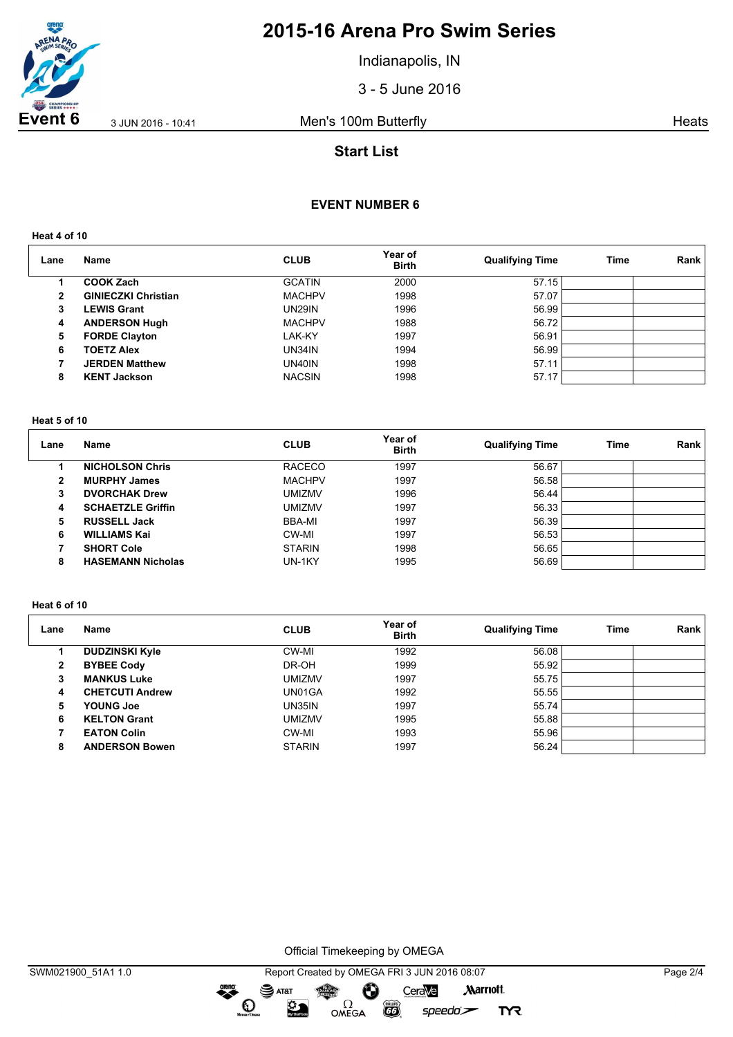

Indianapolis, IN

3 - 5 June 2016

**Event 6** 3 JUN 2016 - 10:41 Men's 100m Butterfly **Event 6** 3 JUN 2016 - 10:41

# **Start List**

## **EVENT NUMBER 6**

**Heat 4 of 10**

| Lane | Name                       | <b>CLUB</b>   | Year of<br><b>Birth</b> | <b>Qualifying Time</b> | <b>Time</b> | Rank |
|------|----------------------------|---------------|-------------------------|------------------------|-------------|------|
|      | <b>COOK Zach</b>           | <b>GCATIN</b> | 2000                    | 57.15                  |             |      |
| 2    | <b>GINIECZKI Christian</b> | <b>MACHPV</b> | 1998                    | 57.07                  |             |      |
| 3    | <b>LEWIS Grant</b>         | <b>UN29IN</b> | 1996                    | 56.99                  |             |      |
| 4    | <b>ANDERSON Hugh</b>       | <b>MACHPV</b> | 1988                    | 56.72                  |             |      |
| 5    | <b>FORDE Clayton</b>       | LAK-KY        | 1997                    | 56.91                  |             |      |
| 6    | <b>TOETZ Alex</b>          | UN34IN        | 1994                    | 56.99                  |             |      |
|      | <b>JERDEN Matthew</b>      | UN40IN        | 1998                    | 57.11                  |             |      |
| 8    | <b>KENT Jackson</b>        | <b>NACSIN</b> | 1998                    | 57.17                  |             |      |

#### **Heat 5 of 10**

| Lane         | Name                     | <b>CLUB</b>   | Year of<br><b>Birth</b> | <b>Qualifying Time</b> | Time | Rank |
|--------------|--------------------------|---------------|-------------------------|------------------------|------|------|
|              | <b>NICHOLSON Chris</b>   | <b>RACECO</b> | 1997                    | 56.67                  |      |      |
| $\mathbf{2}$ | <b>MURPHY James</b>      | <b>MACHPV</b> | 1997                    | 56.58                  |      |      |
| 3            | <b>DVORCHAK Drew</b>     | <b>UMIZMV</b> | 1996                    | 56.44                  |      |      |
| 4            | <b>SCHAETZLE Griffin</b> | <b>UMIZMV</b> | 1997                    | 56.33                  |      |      |
| 5            | <b>RUSSELL Jack</b>      | BBA-MI        | 1997                    | 56.39                  |      |      |
| 6            | <b>WILLIAMS Kai</b>      | CW-MI         | 1997                    | 56.53                  |      |      |
|              | <b>SHORT Cole</b>        | <b>STARIN</b> | 1998                    | 56.65                  |      |      |
| 8            | <b>HASEMANN Nicholas</b> | UN-1KY        | 1995                    | 56.69                  |      |      |

#### **Heat 6 of 10**

| Lane         | Name                   | <b>CLUB</b>   | Year of<br><b>Birth</b> | <b>Qualifying Time</b> | Time | Rank |
|--------------|------------------------|---------------|-------------------------|------------------------|------|------|
|              | <b>DUDZINSKI Kyle</b>  | CW-MI         | 1992                    | 56.08                  |      |      |
| $\mathbf{2}$ | <b>BYBEE Cody</b>      | DR-OH         | 1999                    | 55.92                  |      |      |
| 3            | <b>MANKUS Luke</b>     | <b>UMIZMV</b> | 1997                    | 55.75                  |      |      |
| 4            | <b>CHETCUTI Andrew</b> | UN01GA        | 1992                    | 55.55                  |      |      |
| 5            | <b>YOUNG Joe</b>       | <b>UN35IN</b> | 1997                    | 55.74                  |      |      |
| 6            | <b>KELTON Grant</b>    | <b>UMIZMV</b> | 1995                    | 55.88                  |      |      |
|              | <b>EATON Colin</b>     | CW-MI         | 1993                    | 55.96                  |      |      |
| 8            | <b>ANDERSON Bowen</b>  | <b>STARIN</b> | 1997                    | 56.24                  |      |      |

Official Timekeeping by OMEGA

dreng: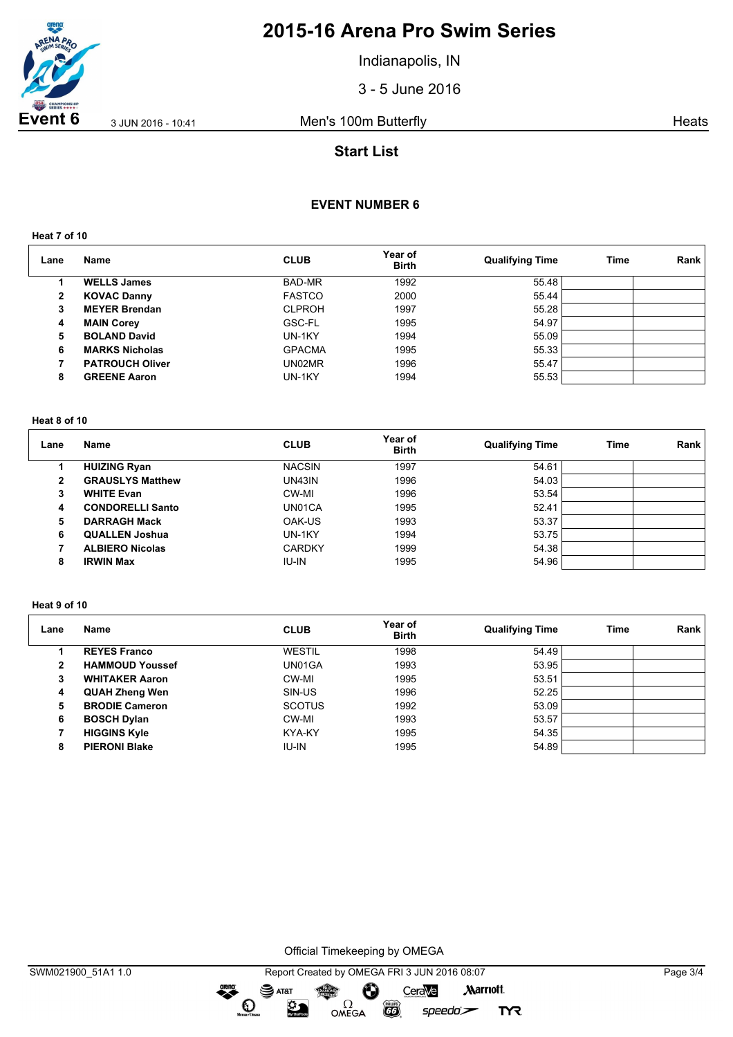

Indianapolis, IN

3 - 5 June 2016

**Event 6** 3 JUN 2016 - 10:41 Men's 100m Butterfly **Event 6** 3 JUN 2016 - 10:41

# **Start List**

## **EVENT NUMBER 6**

**Heat 7 of 10**

| Lane         | Name                   | <b>CLUB</b>   | Year of<br><b>Birth</b> | <b>Qualifying Time</b> | Time | Rank |
|--------------|------------------------|---------------|-------------------------|------------------------|------|------|
|              | <b>WELLS James</b>     | BAD-MR        | 1992                    | 55.48                  |      |      |
| $\mathbf{2}$ | <b>KOVAC Danny</b>     | <b>FASTCO</b> | 2000                    | 55.44                  |      |      |
| 3            | <b>MEYER Brendan</b>   | <b>CLPROH</b> | 1997                    | 55.28                  |      |      |
| 4            | <b>MAIN Corey</b>      | GSC-FL        | 1995                    | 54.97                  |      |      |
| 5            | <b>BOLAND David</b>    | UN-1KY        | 1994                    | 55.09                  |      |      |
| 6            | <b>MARKS Nicholas</b>  | <b>GPACMA</b> | 1995                    | 55.33                  |      |      |
|              | <b>PATROUCH Oliver</b> | UN02MR        | 1996                    | 55.47                  |      |      |
| 8            | <b>GREENE Aaron</b>    | UN-1KY        | 1994                    | 55.53                  |      |      |

#### **Heat 8 of 10**

| Lane | Name                    | <b>CLUB</b>   | Year of<br><b>Birth</b> | <b>Qualifying Time</b> | Time | Rank |
|------|-------------------------|---------------|-------------------------|------------------------|------|------|
|      | <b>HUIZING Ryan</b>     | <b>NACSIN</b> | 1997                    | 54.61                  |      |      |
| 2    | <b>GRAUSLYS Matthew</b> | <b>UN43IN</b> | 1996                    | 54.03                  |      |      |
| 3    | <b>WHITE Evan</b>       | CW-MI         | 1996                    | 53.54                  |      |      |
| 4    | <b>CONDORELLI Santo</b> | UN01CA        | 1995                    | 52.41                  |      |      |
| 5    | <b>DARRAGH Mack</b>     | OAK-US        | 1993                    | 53.37                  |      |      |
| 6    | <b>QUALLEN Joshua</b>   | UN-1KY        | 1994                    | 53.75                  |      |      |
|      | <b>ALBIERO Nicolas</b>  | <b>CARDKY</b> | 1999                    | 54.38                  |      |      |
| 8    | <b>IRWIN Max</b>        | IU-IN         | 1995                    | 54.96                  |      |      |

#### **Heat 9 of 10**

| Lane         | Name                   | <b>CLUB</b>   | Year of<br><b>Birth</b> | <b>Qualifying Time</b> | Time | Rank |
|--------------|------------------------|---------------|-------------------------|------------------------|------|------|
|              | <b>REYES Franco</b>    | WESTIL        | 1998                    | 54.49                  |      |      |
| $\mathbf{2}$ | <b>HAMMOUD Youssef</b> | UN01GA        | 1993                    | 53.95                  |      |      |
| 3            | <b>WHITAKER Aaron</b>  | CW-MI         | 1995                    | 53.51                  |      |      |
| 4            | <b>QUAH Zheng Wen</b>  | SIN-US        | 1996                    | 52.25                  |      |      |
| 5            | <b>BRODIE Cameron</b>  | <b>SCOTUS</b> | 1992                    | 53.09                  |      |      |
| 6            | <b>BOSCH Dylan</b>     | CW-MI         | 1993                    | 53.57                  |      |      |
|              | <b>HIGGINS Kyle</b>    | KYA-KY        | 1995                    | 54.35                  |      |      |
| 8            | <b>PIERONI Blake</b>   | <b>IU-IN</b>  | 1995                    | 54.89                  |      |      |

Official Timekeeping by OMEGA

dreng:

 $\mathbf{O}$ 

SWM021900\_51A1 1.0 Report Created by OMEGA FRI 3 JUN 2016 08:07 Page 3/4 SAT&T CeraVe **Marriott** Ô OMEGA 签

 $\overline{G}$ 

 $speedo$ 

**TYR**